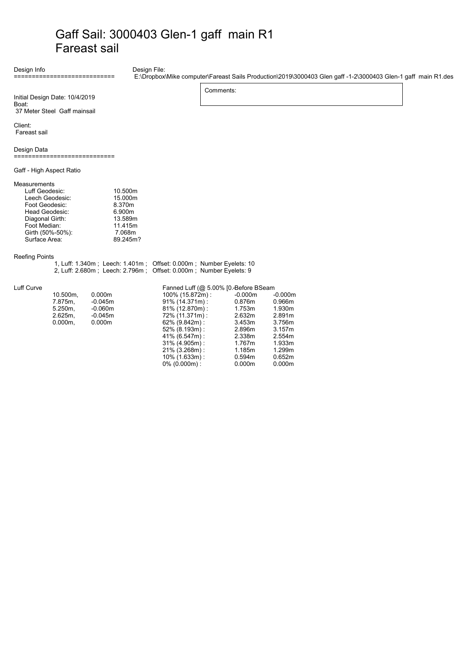## Gaff Sail: 3000403 Glen-1 gaff main R1 Fareast sail

Comments:

10% (1.633m) : 0.594m 0.652m 0% (0.000m): 0.000m 0.000m

Design Info

#### Design File:

E:\Dropbox\Mike computer\Fareast Sails Production\2019\3000403 Glen gaff -1-2\3000403 Glen-1 gaff main R1.des

Initial Design Date: 10/4/2019 Boat:

============================

37 Meter Steel Gaff mainsail

Client: Fareast sail

Design Data

============================

Gaff - High Aspect Ratio

### Measurements

| Luff Geodesic:   | 10.500m  |
|------------------|----------|
| Leech Geodesic:  | 15.000m  |
| Foot Geodesic:   | 8.370m   |
| Head Geodesic:   | 6.900m   |
| Diagonal Girth:  | 13.589m  |
| Foot Median:     | 11.415m  |
| Girth (50%-50%): | 7.068m   |
| Surface Area:    | 89.245m? |
|                  |          |

### Reefing Points

| 1, Luff: 1.340m; Leech: 1.401m; Offset: 0.000m; Number Eyelets: 10 |
|--------------------------------------------------------------------|
| 2, Luff: 2.680m; Leech: 2.796m; Offset: 0.000m; Number Eyelets: 9  |

#### Luff Curve

|                      | Fanned Luff (@ 5.00% [0. Before BSeam |           |           |
|----------------------|---------------------------------------|-----------|-----------|
| 10.500m.<br>0.000m   | 100% (15.872m):                       | $-0.000m$ | $-0.000m$ |
| 7.875m.<br>$-0.045m$ | $91\%$ (14.371m):                     | 0.876m    | 0.966m    |
| $-0.060m$<br>5.250m. | $81\%$ (12.870m):                     | 1.753m    | 1.930m    |
| 2.625m.<br>$-0.045m$ | 72% (11.371m):                        | 2.632m    | 2.891m    |
| $0.000m$ .<br>0.000m | $62\%$ (9.842m) :                     | 3.453m    | 3.756m    |
|                      | $52\%$ (8.193m):                      | 2.896m    | 3.157m    |
|                      | 41% (6.547m) :                        | 2.338m    | 2.554m    |
|                      | $31\%$ (4.905m):                      | 1.767m    | 1.933m    |
|                      | $21\%$ (3.268m):                      | 1.185m    | 1.299m    |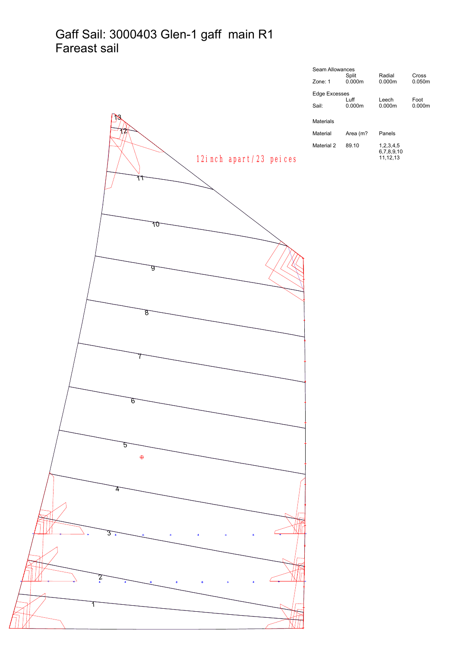## Gaff Sail: 3000403 Glen-1 gaff main R1 Fareast sail